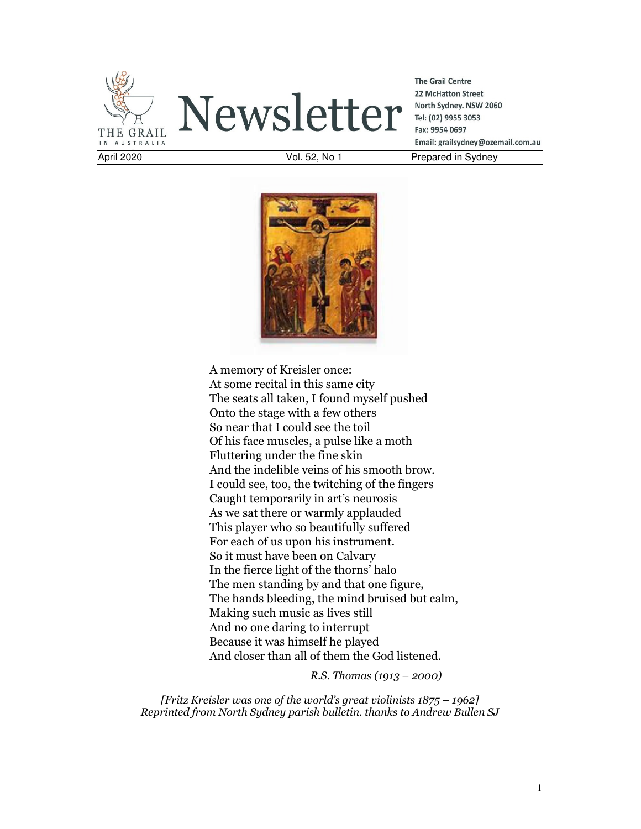

Newsletter

**The Grail Centre** 22 McHatton Street North Sydney. NSW 2060 Tel: (02) 9955 3053 Fax: 9954 0697 Email: grailsydney@ozemail.com.au April 2020 Vol. 52, No 1 Prepared in Sydney



A memory of Kreisler once: At some recital in this same city The seats all taken, I found myself pushed Onto the stage with a few others So near that I could see the toil Of his face muscles, a pulse like a moth Fluttering under the fine skin And the indelible veins of his smooth brow. I could see, too, the twitching of the fingers Caught temporarily in art's neurosis As we sat there or warmly applauded This player who so beautifully suffered For each of us upon his instrument. So it must have been on Calvary In the fierce light of the thorns' halo The men standing by and that one figure, The hands bleeding, the mind bruised but calm, Making such music as lives still And no one daring to interrupt Because it was himself he played And closer than all of them the God listened.

*R.S. Thomas (1913 – 2000)* 

*[Fritz Kreisler was one of the world's great violinists 1875 – 1962] Reprinted from North Sydney parish bulletin. thanks to Andrew Bullen SJ*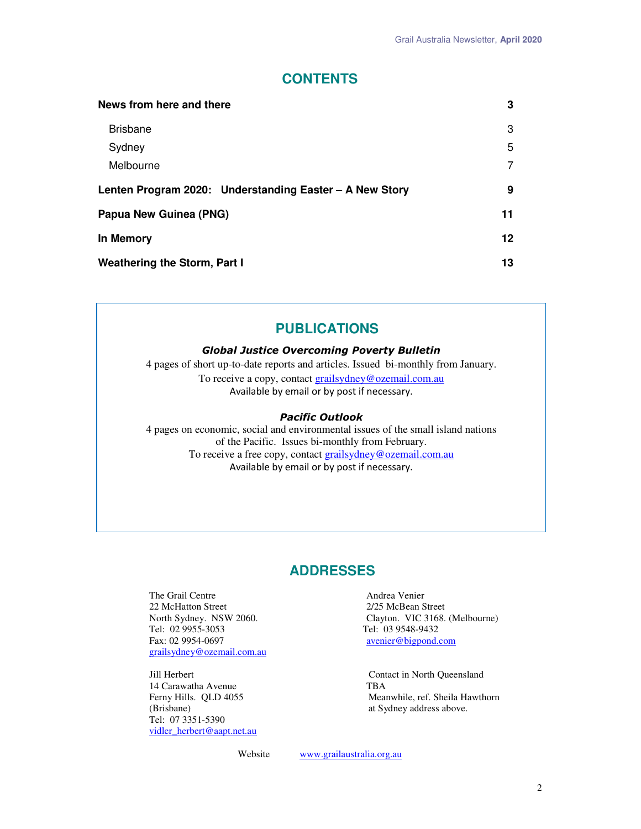## **CONTENTS**

| News from here and there                                | 3       |
|---------------------------------------------------------|---------|
| <b>Brisbane</b>                                         | 3       |
| Sydney                                                  | 5       |
| Melbourne                                               | 7       |
| Lenten Program 2020: Understanding Easter - A New Story | 9       |
| Papua New Guinea (PNG)                                  | 11      |
| In Memory                                               | $12 \,$ |
| Weathering the Storm, Part I                            | 13      |

# **PUBLICATIONS**

#### *Global Justice Overcoming Poverty Bulletin*

4 pages of short up-to-date reports and articles. Issued bi-monthly from January. To receive a copy, contact grailsydney@ozemail.com.au Available by email or by post if necessary.

#### *Pacific Outlook*

4 pages on economic, social and environmental issues of the small island nations of the Pacific. Issues bi-monthly from February. To receive a free copy, contact **grailsydney@ozemail.com.au** Available by email or by post if necessary.

# **ADDRESSES**

The Grail Centre **Andrea Venier**<br>
22 McHatton Street<br>
21/25 McBean Street 22 McHatton Street<br>North Sydney. NSW 2060. Tel: 02 9955-3053 Tel: 03 9548-9432 grailsydney@ozemail.com.au

14 Carawatha Avenue TBA<br>
Ferny Hills. QLD 4055 Mea Tel: 07 3351-5390 vidler\_herbert@aapt.net.au

North Sydney. NSW 2060. Clayton. VIC 3168. (Melbourne)<br>
Tel: 02 9955-3053 Tel: 03 9548-9432 avenier@bigpond.com

Jill Herbert Contact in North Queensland Ferny Hills. QLD 4055 Meanwhile, ref. Sheila Hawthorn (Brisbane) at Sydney address above. at Sydney address above.

Website www.grailaustralia.org.au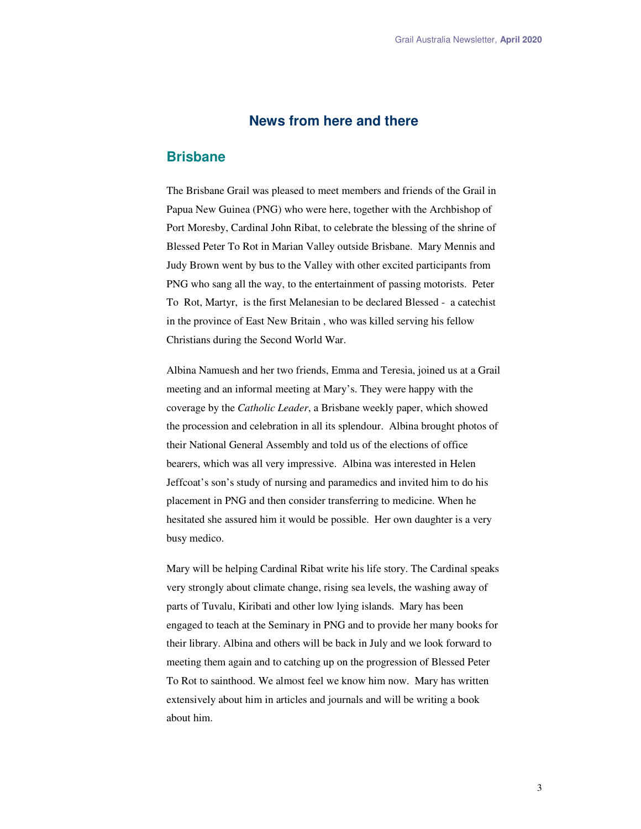## **News from here and there**

### **Brisbane**

The Brisbane Grail was pleased to meet members and friends of the Grail in Papua New Guinea (PNG) who were here, together with the Archbishop of Port Moresby, Cardinal John Ribat, to celebrate the blessing of the shrine of Blessed Peter To Rot in Marian Valley outside Brisbane. Mary Mennis and Judy Brown went by bus to the Valley with other excited participants from PNG who sang all the way, to the entertainment of passing motorists. Peter To Rot, Martyr, is the first Melanesian to be declared Blessed - a catechist in the province of East New Britain , who was killed serving his fellow Christians during the Second World War.

Albina Namuesh and her two friends, Emma and Teresia, joined us at a Grail meeting and an informal meeting at Mary's. They were happy with the coverage by the *Catholic Leader*, a Brisbane weekly paper, which showed the procession and celebration in all its splendour. Albina brought photos of their National General Assembly and told us of the elections of office bearers, which was all very impressive. Albina was interested in Helen Jeffcoat's son's study of nursing and paramedics and invited him to do his placement in PNG and then consider transferring to medicine. When he hesitated she assured him it would be possible. Her own daughter is a very busy medico.

Mary will be helping Cardinal Ribat write his life story. The Cardinal speaks very strongly about climate change, rising sea levels, the washing away of parts of Tuvalu, Kiribati and other low lying islands. Mary has been engaged to teach at the Seminary in PNG and to provide her many books for their library. Albina and others will be back in July and we look forward to meeting them again and to catching up on the progression of Blessed Peter To Rot to sainthood. We almost feel we know him now. Mary has written extensively about him in articles and journals and will be writing a book about him.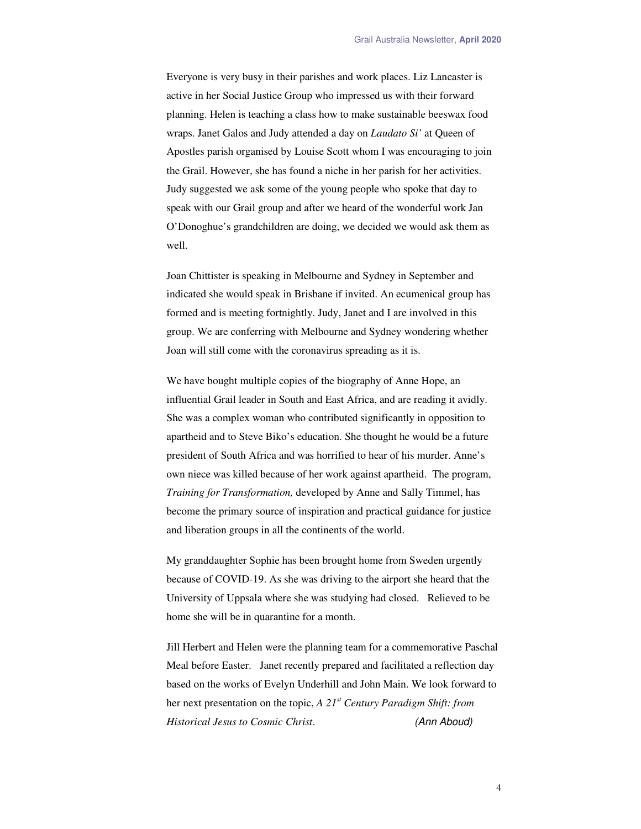Everyone is very busy in their parishes and work places. Liz Lancaster is active in her Social Justice Group who impressed us with their forward planning. Helen is teaching a class how to make sustainable beeswax food wraps. Janet Galos and Judy attended a day on *Laudato Si'* at Queen of Apostles parish organised by Louise Scott whom I was encouraging to join the Grail. However, she has found a niche in her parish for her activities. Judy suggested we ask some of the young people who spoke that day to speak with our Grail group and after we heard of the wonderful work Jan O'Donoghue's grandchildren are doing, we decided we would ask them as well.

Joan Chittister is speaking in Melbourne and Sydney in September and indicated she would speak in Brisbane if invited. An ecumenical group has formed and is meeting fortnightly. Judy, Janet and I are involved in this group. We are conferring with Melbourne and Sydney wondering whether Joan will still come with the coronavirus spreading as it is.

We have bought multiple copies of the biography of Anne Hope, an influential Grail leader in South and East Africa, and are reading it avidly. She was a complex woman who contributed significantly in opposition to apartheid and to Steve Biko's education. She thought he would be a future president of South Africa and was horrified to hear of his murder. Anne's own niece was killed because of her work against apartheid. The program, *Training for Transformation,* developed by Anne and Sally Timmel, has become the primary source of inspiration and practical guidance for justice and liberation groups in all the continents of the world.

My granddaughter Sophie has been brought home from Sweden urgently because of COVID-19. As she was driving to the airport she heard that the University of Uppsala where she was studying had closed. Relieved to be home she will be in quarantine for a month.

Jill Herbert and Helen were the planning team for a commemorative Paschal Meal before Easter. Janet recently prepared and facilitated a reflection day based on the works of Evelyn Underhill and John Main. We look forward to her next presentation on the topic, *A 21st Century Paradigm Shift: from Historical Jesus to Cosmic Christ*. *(Ann Aboud)*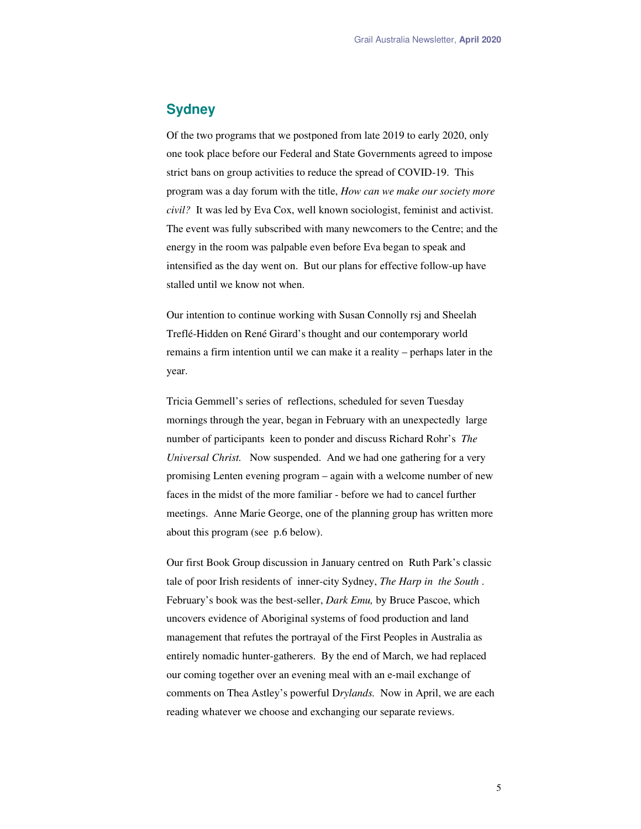## **Sydney**

Of the two programs that we postponed from late 2019 to early 2020, only one took place before our Federal and State Governments agreed to impose strict bans on group activities to reduce the spread of COVID-19. This program was a day forum with the title, *How can we make our society more civil?* It was led by Eva Cox, well known sociologist, feminist and activist. The event was fully subscribed with many newcomers to the Centre; and the energy in the room was palpable even before Eva began to speak and intensified as the day went on. But our plans for effective follow-up have stalled until we know not when.

Our intention to continue working with Susan Connolly rsj and Sheelah Treflé-Hidden on René Girard's thought and our contemporary world remains a firm intention until we can make it a reality – perhaps later in the year.

Tricia Gemmell's series of reflections, scheduled for seven Tuesday mornings through the year, began in February with an unexpectedly large number of participants keen to ponder and discuss Richard Rohr's *The Universal Christ.* Now suspended. And we had one gathering for a very promising Lenten evening program – again with a welcome number of new faces in the midst of the more familiar - before we had to cancel further meetings. Anne Marie George, one of the planning group has written more about this program (see p.6 below).

Our first Book Group discussion in January centred on Ruth Park's classic tale of poor Irish residents of inner-city Sydney, *The Harp in the South* . February's book was the best-seller, *Dark Emu,* by Bruce Pascoe, which uncovers evidence of Aboriginal systems of food production and land management that refutes the portrayal of the First Peoples in Australia as entirely nomadic hunter-gatherers. By the end of March, we had replaced our coming together over an evening meal with an e-mail exchange of comments on Thea Astley's powerful D*rylands.* Now in April, we are each reading whatever we choose and exchanging our separate reviews.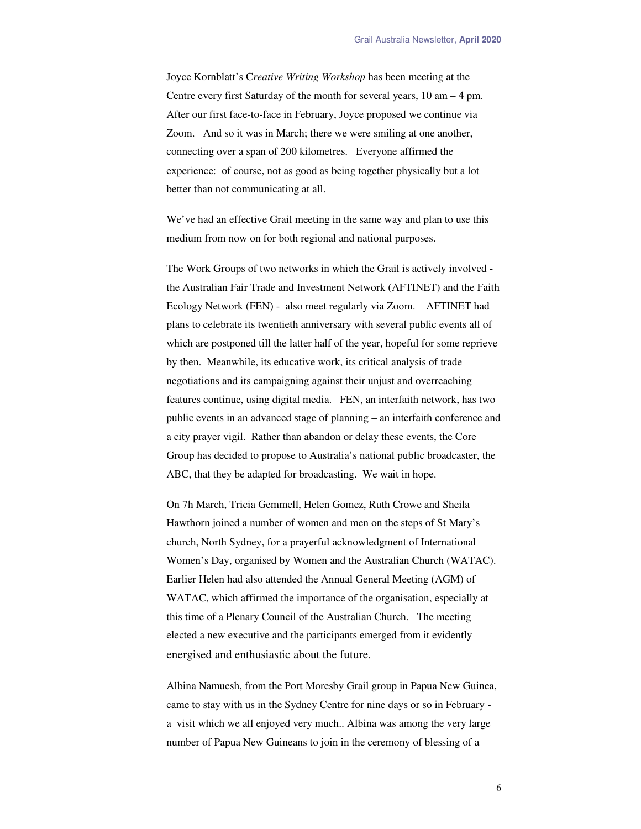Joyce Kornblatt's C*reative Writing Workshop* has been meeting at the Centre every first Saturday of the month for several years, 10 am – 4 pm. After our first face-to-face in February, Joyce proposed we continue via Zoom. And so it was in March; there we were smiling at one another, connecting over a span of 200 kilometres. Everyone affirmed the experience: of course, not as good as being together physically but a lot better than not communicating at all.

We've had an effective Grail meeting in the same way and plan to use this medium from now on for both regional and national purposes.

The Work Groups of two networks in which the Grail is actively involved the Australian Fair Trade and Investment Network (AFTINET) and the Faith Ecology Network (FEN) - also meet regularly via Zoom. AFTINET had plans to celebrate its twentieth anniversary with several public events all of which are postponed till the latter half of the year, hopeful for some reprieve by then. Meanwhile, its educative work, its critical analysis of trade negotiations and its campaigning against their unjust and overreaching features continue, using digital media. FEN, an interfaith network, has two public events in an advanced stage of planning – an interfaith conference and a city prayer vigil. Rather than abandon or delay these events, the Core Group has decided to propose to Australia's national public broadcaster, the ABC, that they be adapted for broadcasting. We wait in hope.

On 7h March, Tricia Gemmell, Helen Gomez, Ruth Crowe and Sheila Hawthorn joined a number of women and men on the steps of St Mary's church, North Sydney, for a prayerful acknowledgment of International Women's Day, organised by Women and the Australian Church (WATAC). Earlier Helen had also attended the Annual General Meeting (AGM) of WATAC, which affirmed the importance of the organisation, especially at this time of a Plenary Council of the Australian Church. The meeting elected a new executive and the participants emerged from it evidently energised and enthusiastic about the future.

Albina Namuesh, from the Port Moresby Grail group in Papua New Guinea, came to stay with us in the Sydney Centre for nine days or so in February a visit which we all enjoyed very much.. Albina was among the very large number of Papua New Guineans to join in the ceremony of blessing of a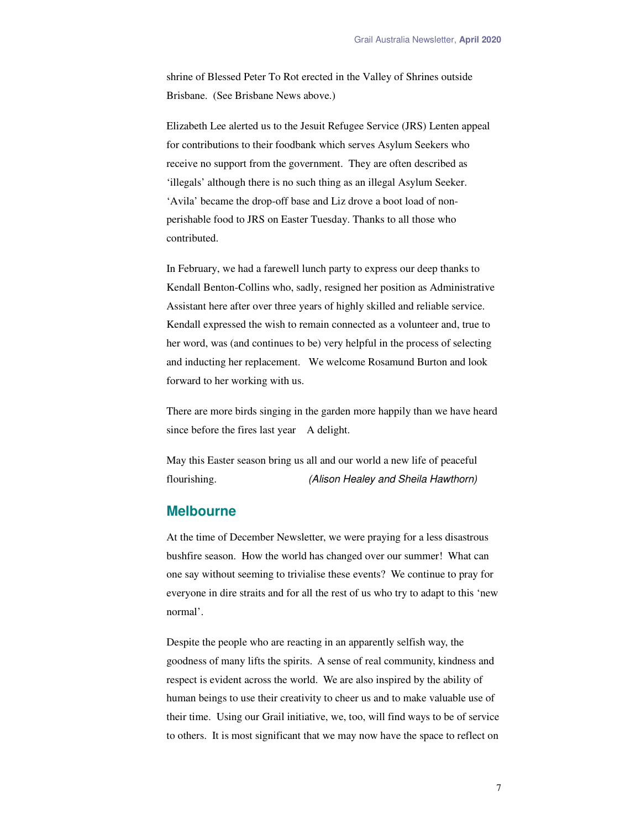shrine of Blessed Peter To Rot erected in the Valley of Shrines outside Brisbane. (See Brisbane News above.)

Elizabeth Lee alerted us to the Jesuit Refugee Service (JRS) Lenten appeal for contributions to their foodbank which serves Asylum Seekers who receive no support from the government. They are often described as 'illegals' although there is no such thing as an illegal Asylum Seeker. 'Avila' became the drop-off base and Liz drove a boot load of nonperishable food to JRS on Easter Tuesday. Thanks to all those who contributed.

In February, we had a farewell lunch party to express our deep thanks to Kendall Benton-Collins who, sadly, resigned her position as Administrative Assistant here after over three years of highly skilled and reliable service. Kendall expressed the wish to remain connected as a volunteer and, true to her word, was (and continues to be) very helpful in the process of selecting and inducting her replacement. We welcome Rosamund Burton and look forward to her working with us.

There are more birds singing in the garden more happily than we have heard since before the fires last year A delight.

May this Easter season bring us all and our world a new life of peaceful flourishing. *(Alison Healey and Sheila Hawthorn)* 

#### **Melbourne**

At the time of December Newsletter, we were praying for a less disastrous bushfire season. How the world has changed over our summer! What can one say without seeming to trivialise these events? We continue to pray for everyone in dire straits and for all the rest of us who try to adapt to this 'new normal'.

Despite the people who are reacting in an apparently selfish way, the goodness of many lifts the spirits. A sense of real community, kindness and respect is evident across the world. We are also inspired by the ability of human beings to use their creativity to cheer us and to make valuable use of their time. Using our Grail initiative, we, too, will find ways to be of service to others. It is most significant that we may now have the space to reflect on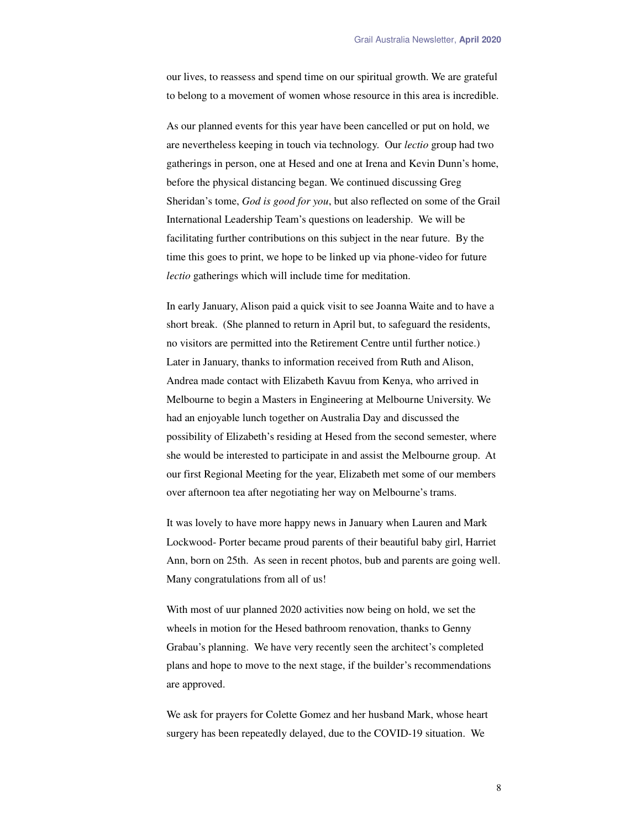our lives, to reassess and spend time on our spiritual growth. We are grateful to belong to a movement of women whose resource in this area is incredible.

As our planned events for this year have been cancelled or put on hold, we are nevertheless keeping in touch via technology. Our *lectio* group had two gatherings in person, one at Hesed and one at Irena and Kevin Dunn's home, before the physical distancing began. We continued discussing Greg Sheridan's tome, *God is good for you*, but also reflected on some of the Grail International Leadership Team's questions on leadership. We will be facilitating further contributions on this subject in the near future. By the time this goes to print, we hope to be linked up via phone-video for future *lectio* gatherings which will include time for meditation.

In early January, Alison paid a quick visit to see Joanna Waite and to have a short break. (She planned to return in April but, to safeguard the residents, no visitors are permitted into the Retirement Centre until further notice.) Later in January, thanks to information received from Ruth and Alison, Andrea made contact with Elizabeth Kavuu from Kenya, who arrived in Melbourne to begin a Masters in Engineering at Melbourne University. We had an enjoyable lunch together on Australia Day and discussed the possibility of Elizabeth's residing at Hesed from the second semester, where she would be interested to participate in and assist the Melbourne group. At our first Regional Meeting for the year, Elizabeth met some of our members over afternoon tea after negotiating her way on Melbourne's trams.

It was lovely to have more happy news in January when Lauren and Mark Lockwood- Porter became proud parents of their beautiful baby girl, Harriet Ann, born on 25th. As seen in recent photos, bub and parents are going well. Many congratulations from all of us!

With most of uur planned 2020 activities now being on hold, we set the wheels in motion for the Hesed bathroom renovation, thanks to Genny Grabau's planning. We have very recently seen the architect's completed plans and hope to move to the next stage, if the builder's recommendations are approved.

We ask for prayers for Colette Gomez and her husband Mark, whose heart surgery has been repeatedly delayed, due to the COVID-19 situation. We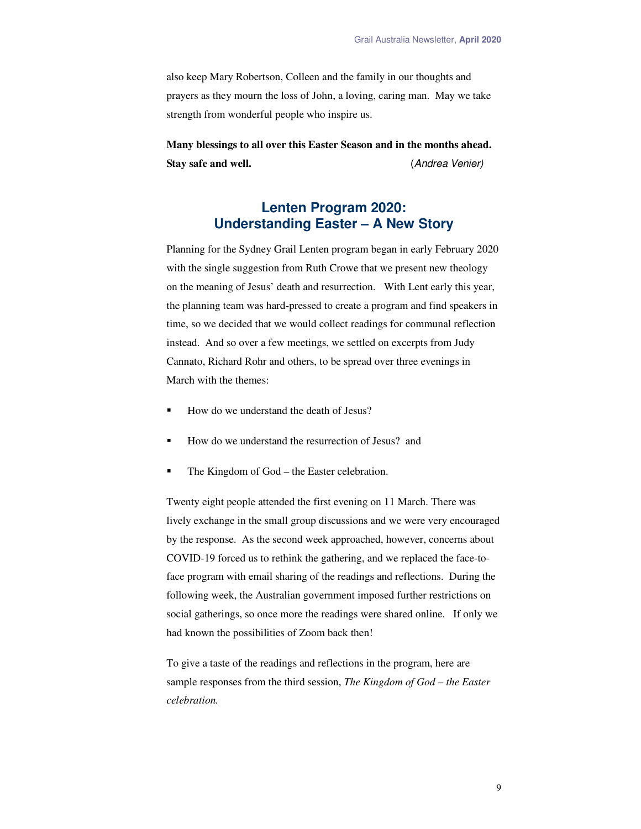also keep Mary Robertson, Colleen and the family in our thoughts and prayers as they mourn the loss of John, a loving, caring man. May we take strength from wonderful people who inspire us.

**Many blessings to all over this Easter Season and in the months ahead. Stay safe and well.** (*Andrea Venier)*

# **Lenten Program 2020: Understanding Easter – A New Story**

Planning for the Sydney Grail Lenten program began in early February 2020 with the single suggestion from Ruth Crowe that we present new theology on the meaning of Jesus' death and resurrection. With Lent early this year, the planning team was hard-pressed to create a program and find speakers in time, so we decided that we would collect readings for communal reflection instead. And so over a few meetings, we settled on excerpts from Judy Cannato, Richard Rohr and others, to be spread over three evenings in March with the themes:

- How do we understand the death of Jesus?
- How do we understand the resurrection of Jesus? and
- The Kingdom of God the Easter celebration.

Twenty eight people attended the first evening on 11 March. There was lively exchange in the small group discussions and we were very encouraged by the response. As the second week approached, however, concerns about COVID-19 forced us to rethink the gathering, and we replaced the face-toface program with email sharing of the readings and reflections. During the following week, the Australian government imposed further restrictions on social gatherings, so once more the readings were shared online. If only we had known the possibilities of Zoom back then!

To give a taste of the readings and reflections in the program, here are sample responses from the third session, *The Kingdom of God – the Easter celebration.* 

9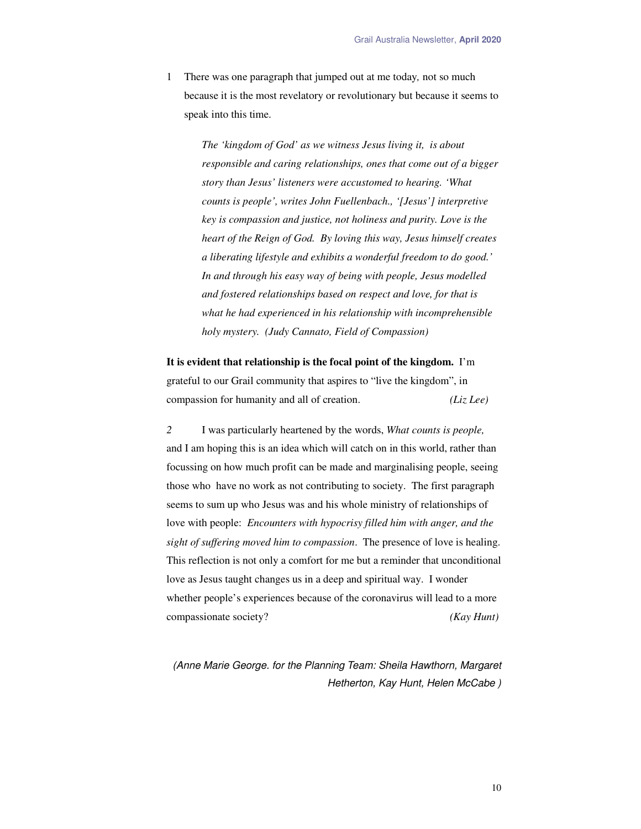1 There was one paragraph that jumped out at me today*,* not so much because it is the most revelatory or revolutionary but because it seems to speak into this time.

> *The 'kingdom of God' as we witness Jesus living it, is about responsible and caring relationships, ones that come out of a bigger story than Jesus' listeners were accustomed to hearing. 'What counts is people', writes John Fuellenbach., '[Jesus'] interpretive key is compassion and justice, not holiness and purity. Love is the heart of the Reign of God. By loving this way, Jesus himself creates a liberating lifestyle and exhibits a wonderful freedom to do good.' In and through his easy way of being with people, Jesus modelled and fostered relationships based on respect and love, for that is what he had experienced in his relationship with incomprehensible holy mystery. (Judy Cannato, Field of Compassion)*

**It is evident that relationship is the focal point of the kingdom.** I'm grateful to our Grail community that aspires to "live the kingdom", in compassion for humanity and all of creation. *(Liz Lee)* 

*2* I was particularly heartened by the words, *What counts is people,* and I am hoping this is an idea which will catch on in this world, rather than focussing on how much profit can be made and marginalising people, seeing those who have no work as not contributing to society. The first paragraph seems to sum up who Jesus was and his whole ministry of relationships of love with people: *Encounters with hypocrisy filled him with anger, and the sight of suffering moved him to compassion*. The presence of love is healing. This reflection is not only a comfort for me but a reminder that unconditional love as Jesus taught changes us in a deep and spiritual way. I wonder whether people's experiences because of the coronavirus will lead to a more compassionate society? *(Kay Hunt)* 

*(Anne Marie George. for the Planning Team: Sheila Hawthorn, Margaret Hetherton, Kay Hunt, Helen McCabe )*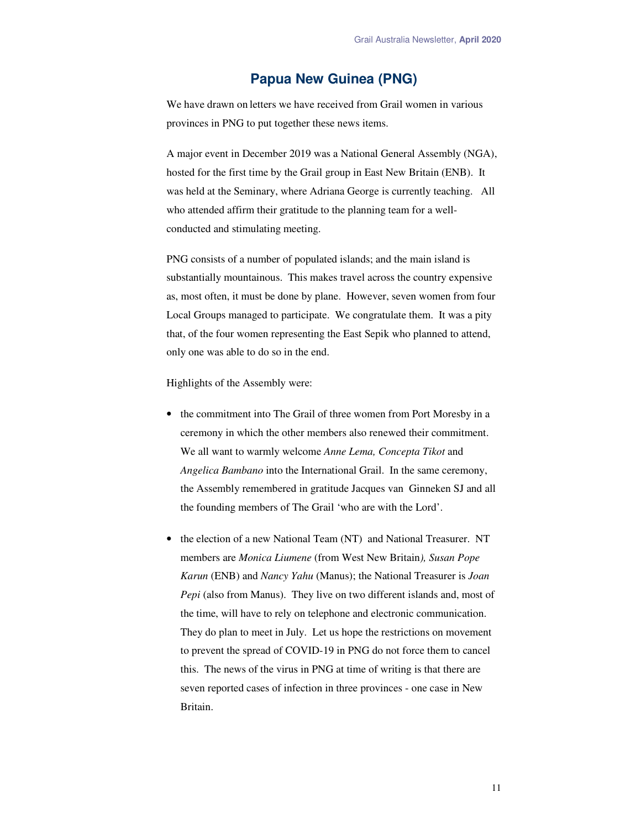## **Papua New Guinea (PNG)**

We have drawn on letters we have received from Grail women in various provinces in PNG to put together these news items.

A major event in December 2019 was a National General Assembly (NGA), hosted for the first time by the Grail group in East New Britain (ENB). It was held at the Seminary, where Adriana George is currently teaching. All who attended affirm their gratitude to the planning team for a wellconducted and stimulating meeting.

PNG consists of a number of populated islands; and the main island is substantially mountainous. This makes travel across the country expensive as, most often, it must be done by plane. However, seven women from four Local Groups managed to participate. We congratulate them. It was a pity that, of the four women representing the East Sepik who planned to attend, only one was able to do so in the end.

Highlights of the Assembly were:

- the commitment into The Grail of three women from Port Moresby in a ceremony in which the other members also renewed their commitment. We all want to warmly welcome *Anne Lema, Concepta Tikot* and *Angelica Bambano* into the International Grail. In the same ceremony, the Assembly remembered in gratitude Jacques van Ginneken SJ and all the founding members of The Grail 'who are with the Lord'.
- the election of a new National Team (NT) and National Treasurer. NT members are *Monica Liumene* (from West New Britain*), Susan Pope Karun* (ENB) and *Nancy Yahu* (Manus); the National Treasurer is *Joan Pepi* (also from Manus). They live on two different islands and, most of the time, will have to rely on telephone and electronic communication. They do plan to meet in July. Let us hope the restrictions on movement to prevent the spread of COVID-19 in PNG do not force them to cancel this. The news of the virus in PNG at time of writing is that there are seven reported cases of infection in three provinces - one case in New Britain.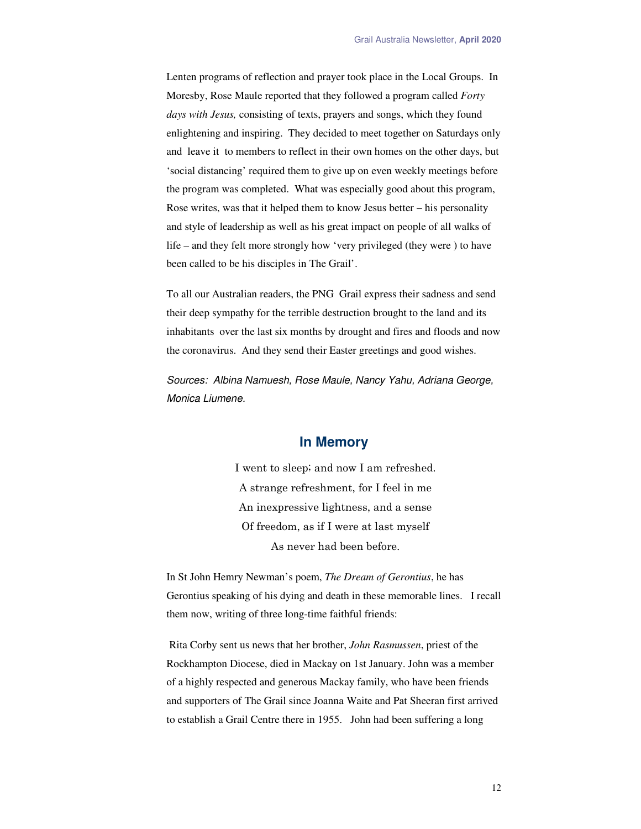Lenten programs of reflection and prayer took place in the Local Groups. In Moresby, Rose Maule reported that they followed a program called *Forty days with Jesus,* consisting of texts, prayers and songs, which they found enlightening and inspiring. They decided to meet together on Saturdays only and leave it to members to reflect in their own homes on the other days, but 'social distancing' required them to give up on even weekly meetings before the program was completed. What was especially good about this program, Rose writes, was that it helped them to know Jesus better – his personality and style of leadership as well as his great impact on people of all walks of life – and they felt more strongly how 'very privileged (they were ) to have been called to be his disciples in The Grail'.

To all our Australian readers, the PNG Grail express their sadness and send their deep sympathy for the terrible destruction brought to the land and its inhabitants over the last six months by drought and fires and floods and now the coronavirus. And they send their Easter greetings and good wishes.

*Sources: Albina Namuesh, Rose Maule, Nancy Yahu, Adriana George, Monica Liumene.* 

#### **In Memory**

I went to sleep; and now I am refreshed. A strange refreshment, for I feel in me An inexpressive lightness, and a sense Of freedom, as if I were at last myself As never had been before.

In St John Hemry Newman's poem, *The Dream of Gerontius*, he has Gerontius speaking of his dying and death in these memorable lines. I recall them now, writing of three long-time faithful friends:

 Rita Corby sent us news that her brother, *John Rasmussen*, priest of the Rockhampton Diocese, died in Mackay on 1st January. John was a member of a highly respected and generous Mackay family, who have been friends and supporters of The Grail since Joanna Waite and Pat Sheeran first arrived to establish a Grail Centre there in 1955. John had been suffering a long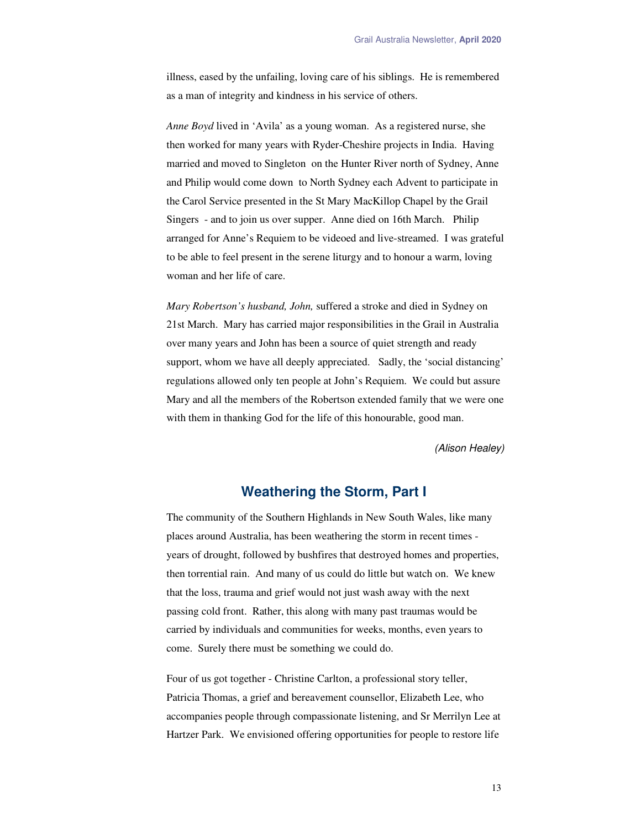illness, eased by the unfailing, loving care of his siblings. He is remembered as a man of integrity and kindness in his service of others.

*Anne Boyd* lived in 'Avila' as a young woman. As a registered nurse, she then worked for many years with Ryder-Cheshire projects in India. Having married and moved to Singleton on the Hunter River north of Sydney, Anne and Philip would come down to North Sydney each Advent to participate in the Carol Service presented in the St Mary MacKillop Chapel by the Grail Singers - and to join us over supper. Anne died on 16th March. Philip arranged for Anne's Requiem to be videoed and live-streamed. I was grateful to be able to feel present in the serene liturgy and to honour a warm, loving woman and her life of care.

*Mary Robertson's husband, John,* suffered a stroke and died in Sydney on 21st March. Mary has carried major responsibilities in the Grail in Australia over many years and John has been a source of quiet strength and ready support, whom we have all deeply appreciated. Sadly, the 'social distancing' regulations allowed only ten people at John's Requiem. We could but assure Mary and all the members of the Robertson extended family that we were one with them in thanking God for the life of this honourable, good man.

*(Alison Healey)* 

### **Weathering the Storm, Part I**

The community of the Southern Highlands in New South Wales, like many places around Australia, has been weathering the storm in recent times years of drought, followed by bushfires that destroyed homes and properties, then torrential rain. And many of us could do little but watch on. We knew that the loss, trauma and grief would not just wash away with the next passing cold front. Rather, this along with many past traumas would be carried by individuals and communities for weeks, months, even years to come. Surely there must be something we could do.

Four of us got together - Christine Carlton, a professional story teller, Patricia Thomas, a grief and bereavement counsellor, Elizabeth Lee, who accompanies people through compassionate listening, and Sr Merrilyn Lee at Hartzer Park. We envisioned offering opportunities for people to restore life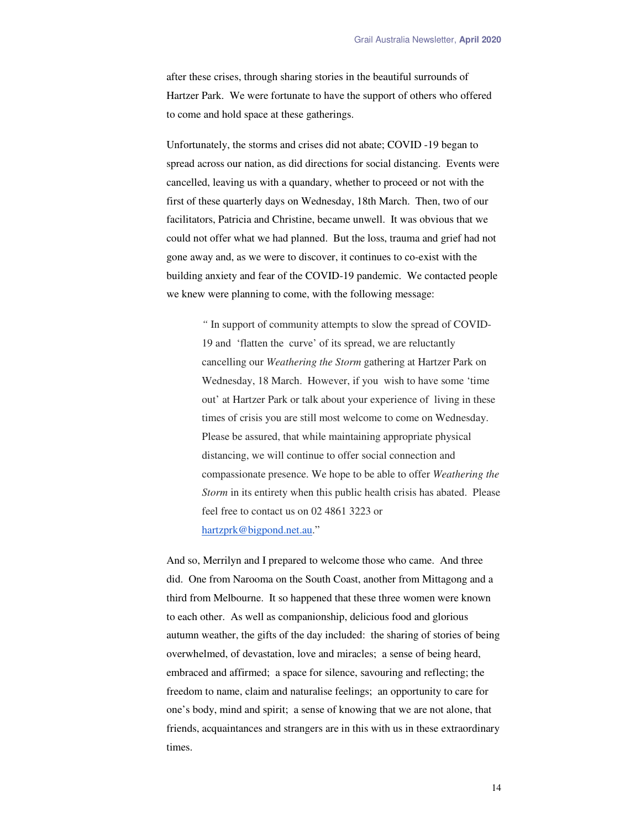after these crises, through sharing stories in the beautiful surrounds of Hartzer Park. We were fortunate to have the support of others who offered to come and hold space at these gatherings.

Unfortunately, the storms and crises did not abate; COVID -19 began to spread across our nation, as did directions for social distancing. Events were cancelled, leaving us with a quandary, whether to proceed or not with the first of these quarterly days on Wednesday, 18th March. Then, two of our facilitators, Patricia and Christine, became unwell. It was obvious that we could not offer what we had planned. But the loss, trauma and grief had not gone away and, as we were to discover, it continues to co-exist with the building anxiety and fear of the COVID-19 pandemic. We contacted people we knew were planning to come, with the following message:

> *"* In support of community attempts to slow the spread of COVID-19 and 'flatten the curve' of its spread, we are reluctantly cancelling our *Weathering the Storm* gathering at Hartzer Park on Wednesday, 18 March. However, if you wish to have some 'time out' at Hartzer Park or talk about your experience of living in these times of crisis you are still most welcome to come on Wednesday. Please be assured, that while maintaining appropriate physical distancing, we will continue to offer social connection and compassionate presence. We hope to be able to offer *Weathering the Storm* in its entirety when this public health crisis has abated. Please feel free to contact us on 02 4861 3223 or hartzprk@bigpond.net.au."

And so, Merrilyn and I prepared to welcome those who came. And three did. One from Narooma on the South Coast, another from Mittagong and a third from Melbourne. It so happened that these three women were known to each other. As well as companionship, delicious food and glorious autumn weather, the gifts of the day included: the sharing of stories of being overwhelmed, of devastation, love and miracles; a sense of being heard, embraced and affirmed; a space for silence, savouring and reflecting; the freedom to name, claim and naturalise feelings; an opportunity to care for one's body, mind and spirit; a sense of knowing that we are not alone, that friends, acquaintances and strangers are in this with us in these extraordinary times.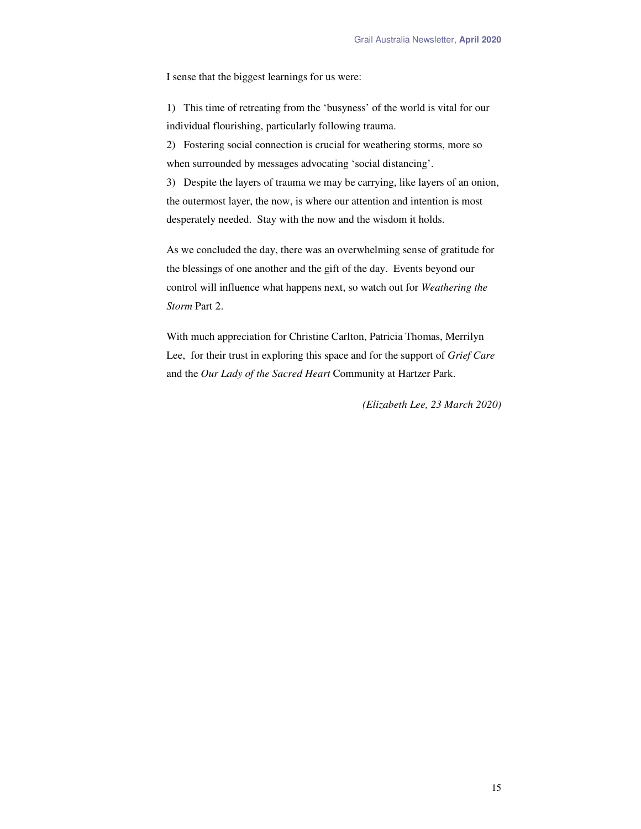I sense that the biggest learnings for us were:

1) This time of retreating from the 'busyness' of the world is vital for our individual flourishing, particularly following trauma.

2) Fostering social connection is crucial for weathering storms, more so when surrounded by messages advocating 'social distancing'.

3) Despite the layers of trauma we may be carrying, like layers of an onion, the outermost layer, the now, is where our attention and intention is most desperately needed. Stay with the now and the wisdom it holds.

As we concluded the day, there was an overwhelming sense of gratitude for the blessings of one another and the gift of the day. Events beyond our control will influence what happens next, so watch out for *Weathering the Storm* Part 2.

With much appreciation for Christine Carlton, Patricia Thomas, Merrilyn Lee, for their trust in exploring this space and for the support of *Grief Care* and the *Our Lady of the Sacred Heart* Community at Hartzer Park.

*(Elizabeth Lee, 23 March 2020)*